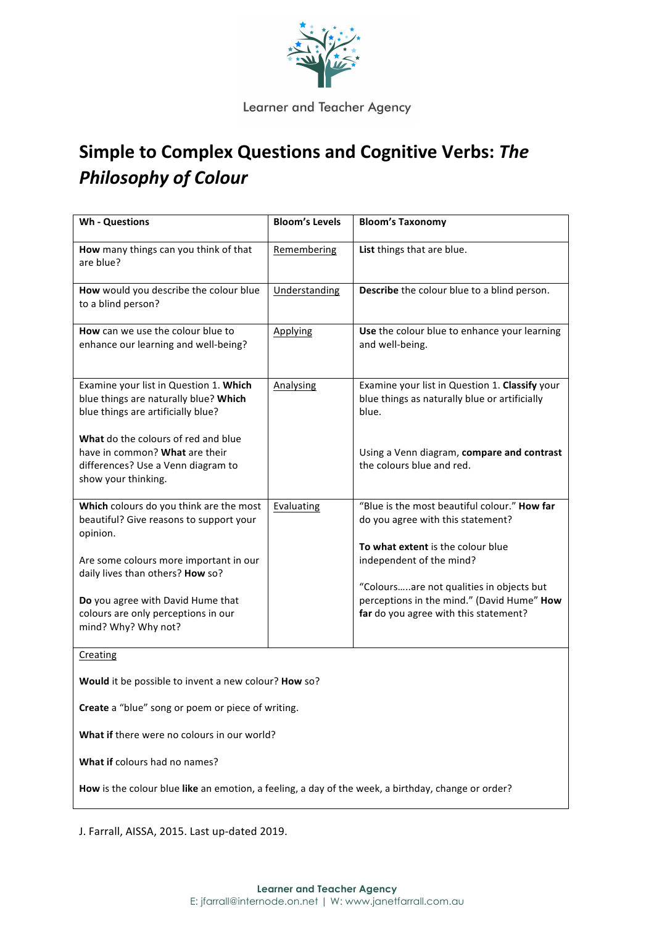

## Learner and Teacher Agency

## **Simple to Complex Questions and Cognitive Verbs: The** *Philosophy of Colour*

| <b>Wh - Questions</b>                                                                                                              | <b>Bloom's Levels</b> | <b>Bloom's Taxonomy</b>                                                                                                         |
|------------------------------------------------------------------------------------------------------------------------------------|-----------------------|---------------------------------------------------------------------------------------------------------------------------------|
| How many things can you think of that<br>are blue?                                                                                 | Remembering           | List things that are blue.                                                                                                      |
| How would you describe the colour blue<br>to a blind person?                                                                       | Understanding         | Describe the colour blue to a blind person.                                                                                     |
| How can we use the colour blue to<br>enhance our learning and well-being?                                                          | Applying              | Use the colour blue to enhance your learning<br>and well-being.                                                                 |
| Examine your list in Question 1. Which<br>blue things are naturally blue? Which<br>blue things are artificially blue?              | Analysing             | Examine your list in Question 1. Classify your<br>blue things as naturally blue or artificially<br>blue.                        |
| What do the colours of red and blue<br>have in common? What are their<br>differences? Use a Venn diagram to<br>show your thinking. |                       | Using a Venn diagram, compare and contrast<br>the colours blue and red.                                                         |
| Which colours do you think are the most<br>beautiful? Give reasons to support your<br>opinion.                                     | Evaluating            | "Blue is the most beautiful colour." How far<br>do you agree with this statement?<br>To what extent is the colour blue          |
| Are some colours more important in our<br>daily lives than others? How so?                                                         |                       | independent of the mind?                                                                                                        |
| Do you agree with David Hume that<br>colours are only perceptions in our<br>mind? Why? Why not?                                    |                       | "Coloursare not qualities in objects but<br>perceptions in the mind." (David Hume" How<br>far do you agree with this statement? |
| Creating                                                                                                                           |                       |                                                                                                                                 |
| Would it be possible to invent a new colour? How so?                                                                               |                       |                                                                                                                                 |
| Create a "blue" song or poem or piece of writing.                                                                                  |                       |                                                                                                                                 |
| What if there were no colours in our world?                                                                                        |                       |                                                                                                                                 |
| What if colours had no names?                                                                                                      |                       |                                                                                                                                 |
| How is the colour blue like an emotion, a feeling, a day of the week, a birthday, change or order?                                 |                       |                                                                                                                                 |

J. Farrall, AISSA, 2015. Last up-dated 2019.